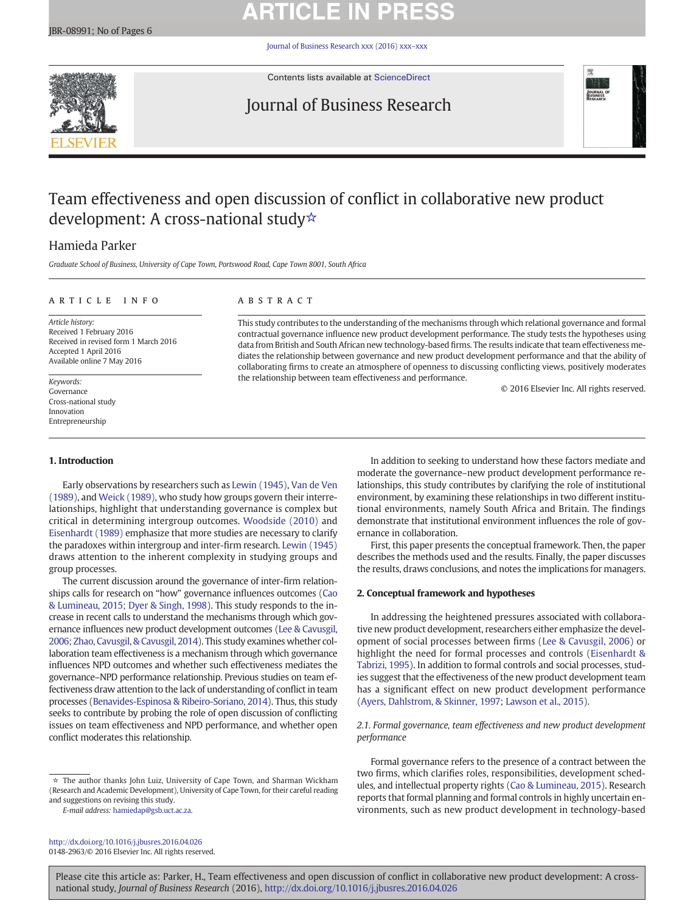# **ARTICLE IN PRESS**

[Journal of Business Research xxx \(2016\) xxx](http://dx.doi.org/10.1016/j.jbusres.2016.04.026)–xxx



Contents lists available at [ScienceDirect](http://www.sciencedirect.com/science/journal/01482963)

# Journal of Business Research



# Team effectiveness and open discussion of conflict in collaborative new product development: A cross-national study☆

the relationship between team effectiveness and performance.

# Hamieda Parker

Graduate School of Business, University of Cape Town, Portswood Road, Cape Town 8001, South Africa

## article info abstract

Article history: Received 1 February 2016 Received in revised form 1 March 2016 Accepted 1 April 2016 Available online 7 May 2016

© 2016 Elsevier Inc. All rights reserved. Keywords: Governance Cross-national study Innovation Entrepreneurship

# 1. Introduction

Early observations by researchers such as [Lewin \(1945\),](#page-5-0) [Van de Ven](#page-5-0) [\(1989\)](#page-5-0), and [Weick \(1989\),](#page-5-0) who study how groups govern their interrelationships, highlight that understanding governance is complex but critical in determining intergroup outcomes. [Woodside \(2010\)](#page-5-0) and [Eisenhardt \(1989\)](#page-5-0) emphasize that more studies are necessary to clarify the paradoxes within intergroup and inter-firm research. [Lewin \(1945\)](#page-5-0) draws attention to the inherent complexity in studying groups and group processes.

The current discussion around the governance of inter-firm relationships calls for research on "how" governance influences outcomes ([Cao](#page-5-0) [& Lumineau, 2015; Dyer & Singh, 1998](#page-5-0)). This study responds to the increase in recent calls to understand the mechanisms through which governance influences new product development outcomes [\(Lee & Cavusgil,](#page-5-0) [2006; Zhao, Cavusgil, & Cavusgil, 2014](#page-5-0)). This study examines whether collaboration team effectiveness is a mechanism through which governance influences NPD outcomes and whether such effectiveness mediates the governance–NPD performance relationship. Previous studies on team effectiveness draw attention to the lack of understanding of conflict in team processes [\(Benavides-Espinosa & Ribeiro-Soriano, 2014\)](#page-5-0). Thus, this study seeks to contribute by probing the role of open discussion of conflicting issues on team effectiveness and NPD performance, and whether open conflict moderates this relationship.

E-mail address: [hamiedap@gsb.uct.ac.za](mailto:hamiedap@gsb.uct.ac.za).

<http://dx.doi.org/10.1016/j.jbusres.2016.04.026> 0148-2963/© 2016 Elsevier Inc. All rights reserved.

In addition to seeking to understand how these factors mediate and moderate the governance–new product development performance relationships, this study contributes by clarifying the role of institutional environment, by examining these relationships in two different institutional environments, namely South Africa and Britain. The findings demonstrate that institutional environment influences the role of governance in collaboration.

First, this paper presents the conceptual framework. Then, the paper describes the methods used and the results. Finally, the paper discusses the results, draws conclusions, and notes the implications for managers.

# 2. Conceptual framework and hypotheses

This study contributes to the understanding of the mechanisms through which relational governance and formal contractual governance influence new product development performance. The study tests the hypotheses using data from British and South African new technology-based firms. The results indicate that team effectiveness mediates the relationship between governance and new product development performance and that the ability of collaborating firms to create an atmosphere of openness to discussing conflicting views, positively moderates

> In addressing the heightened pressures associated with collaborative new product development, researchers either emphasize the development of social processes between firms ([Lee & Cavusgil, 2006\)](#page-5-0) or highlight the need for formal processes and controls ([Eisenhardt &](#page-5-0) [Tabrizi, 1995](#page-5-0)). In addition to formal controls and social processes, studies suggest that the effectiveness of the new product development team has a significant effect on new product development performance [\(Ayers, Dahlstrom, & Skinner, 1997](#page-5-0); [Lawson et al., 2015\)](#page-5-0).

# 2.1. Formal governance, team effectiveness and new product development performance

Formal governance refers to the presence of a contract between the two firms, which clarifies roles, responsibilities, development schedules, and intellectual property rights ([Cao & Lumineau, 2015\)](#page-5-0). Research reports that formal planning and formal controls in highly uncertain environments, such as new product development in technology-based

<sup>☆</sup> The author thanks John Luiz, University of Cape Town, and Sharman Wickham (Research and Academic Development), University of Cape Town, for their careful reading and suggestions on revising this study.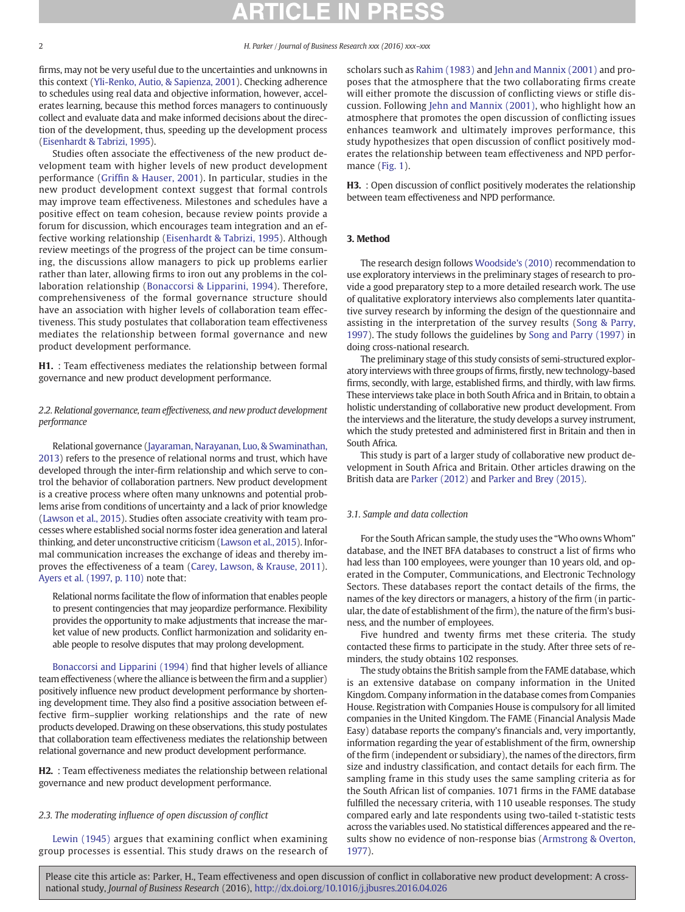<span id="page-1-0"></span>

firms, may not be very useful due to the uncertainties and unknowns in this context ([Yli-Renko, Autio, & Sapienza, 2001](#page-5-0)). Checking adherence to schedules using real data and objective information, however, accelerates learning, because this method forces managers to continuously collect and evaluate data and make informed decisions about the direction of the development, thus, speeding up the development process [\(Eisenhardt & Tabrizi, 1995\)](#page-5-0).

Studies often associate the effectiveness of the new product development team with higher levels of new product development performance (Griffi[n & Hauser, 2001](#page-5-0)). In particular, studies in the new product development context suggest that formal controls may improve team effectiveness. Milestones and schedules have a positive effect on team cohesion, because review points provide a forum for discussion, which encourages team integration and an effective working relationship ([Eisenhardt & Tabrizi, 1995\)](#page-5-0). Although review meetings of the progress of the project can be time consuming, the discussions allow managers to pick up problems earlier rather than later, allowing firms to iron out any problems in the collaboration relationship ([Bonaccorsi & Lipparini, 1994\)](#page-5-0). Therefore, comprehensiveness of the formal governance structure should have an association with higher levels of collaboration team effectiveness. This study postulates that collaboration team effectiveness mediates the relationship between formal governance and new product development performance.

H1. : Team effectiveness mediates the relationship between formal governance and new product development performance.

# 2.2. Relational governance, team effectiveness, and new product development performance

Relational governance ([Jayaraman, Narayanan, Luo, & Swaminathan,](#page-5-0) [2013\)](#page-5-0) refers to the presence of relational norms and trust, which have developed through the inter-firm relationship and which serve to control the behavior of collaboration partners. New product development is a creative process where often many unknowns and potential problems arise from conditions of uncertainty and a lack of prior knowledge [\(Lawson et al., 2015](#page-5-0)). Studies often associate creativity with team processes where established social norms foster idea generation and lateral thinking, and deter unconstructive criticism [\(Lawson et al., 2015\)](#page-5-0). Informal communication increases the exchange of ideas and thereby improves the effectiveness of a team [\(Carey, Lawson, & Krause, 2011](#page-5-0)). [Ayers et al. \(1997, p. 110\)](#page-5-0) note that:

Relational norms facilitate the flow of information that enables people to present contingencies that may jeopardize performance. Flexibility provides the opportunity to make adjustments that increase the market value of new products. Conflict harmonization and solidarity enable people to resolve disputes that may prolong development.

[Bonaccorsi and Lipparini \(1994\)](#page-5-0) find that higher levels of alliance team effectiveness (where the alliance is between the firm and a supplier) positively influence new product development performance by shortening development time. They also find a positive association between effective firm–supplier working relationships and the rate of new products developed. Drawing on these observations, this study postulates that collaboration team effectiveness mediates the relationship between relational governance and new product development performance.

H2. : Team effectiveness mediates the relationship between relational governance and new product development performance.

# 2.3. The moderating influence of open discussion of conflict

[Lewin \(1945\)](#page-5-0) argues that examining conflict when examining group processes is essential. This study draws on the research of scholars such as [Rahim \(1983\)](#page-5-0) and [Jehn and Mannix \(2001\)](#page-5-0) and proposes that the atmosphere that the two collaborating firms create will either promote the discussion of conflicting views or stifle discussion. Following [Jehn and Mannix \(2001\),](#page-5-0) who highlight how an atmosphere that promotes the open discussion of conflicting issues enhances teamwork and ultimately improves performance, this study hypothesizes that open discussion of conflict positively moderates the relationship between team effectiveness and NPD performance ([Fig. 1\)](#page-2-0).

H3. : Open discussion of conflict positively moderates the relationship between team effectiveness and NPD performance.

# 3. Method

The research design follows [Woodside's \(2010\)](#page-5-0) recommendation to use exploratory interviews in the preliminary stages of research to provide a good preparatory step to a more detailed research work. The use of qualitative exploratory interviews also complements later quantitative survey research by informing the design of the questionnaire and assisting in the interpretation of the survey results ([Song & Parry,](#page-5-0) [1997](#page-5-0)). The study follows the guidelines by [Song and Parry \(1997\)](#page-5-0) in doing cross-national research.

The preliminary stage of this study consists of semi-structured exploratory interviews with three groups of firms, firstly, new technology-based firms, secondly, with large, established firms, and thirdly, with law firms. These interviews take place in both South Africa and in Britain, to obtain a holistic understanding of collaborative new product development. From the interviews and the literature, the study develops a survey instrument, which the study pretested and administered first in Britain and then in South Africa.

This study is part of a larger study of collaborative new product development in South Africa and Britain. Other articles drawing on the British data are [Parker \(2012\)](#page-5-0) and [Parker and Brey \(2015\)](#page-5-0).

### 3.1. Sample and data collection

For the South African sample, the study uses the "Who owns Whom" database, and the INET BFA databases to construct a list of firms who had less than 100 employees, were younger than 10 years old, and operated in the Computer, Communications, and Electronic Technology Sectors. These databases report the contact details of the firms, the names of the key directors or managers, a history of the firm (in particular, the date of establishment of the firm), the nature of the firm's business, and the number of employees.

Five hundred and twenty firms met these criteria. The study contacted these firms to participate in the study. After three sets of reminders, the study obtains 102 responses.

The study obtains the British sample from the FAME database, which is an extensive database on company information in the United Kingdom. Company information in the database comes from Companies House. Registration with Companies House is compulsory for all limited companies in the United Kingdom. The FAME (Financial Analysis Made Easy) database reports the company's financials and, very importantly, information regarding the year of establishment of the firm, ownership of the firm (independent or subsidiary), the names of the directors, firm size and industry classification, and contact details for each firm. The sampling frame in this study uses the same sampling criteria as for the South African list of companies. 1071 firms in the FAME database fulfilled the necessary criteria, with 110 useable responses. The study compared early and late respondents using two-tailed t-statistic tests across the variables used. No statistical differences appeared and the results show no evidence of non-response bias ([Armstrong & Overton,](#page-5-0) [1977\)](#page-5-0).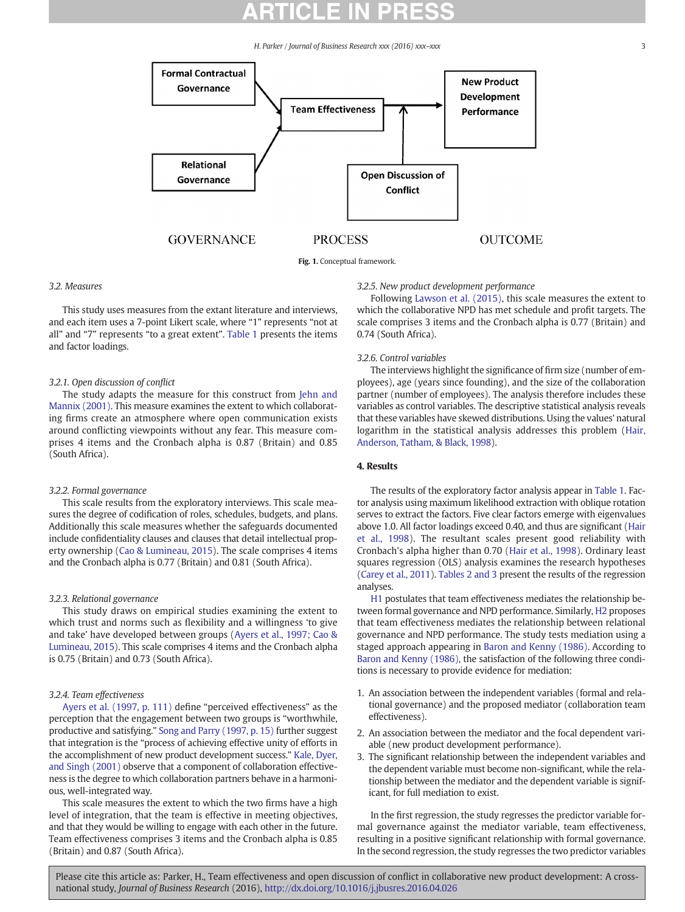<span id="page-2-0"></span>

Fig. 1. Conceptual framework.

### 3.2. Measures

This study uses measures from the extant literature and interviews, and each item uses a 7-point Likert scale, where "1" represents "not at all" and "7" represents "to a great extent". [Table 1](#page-3-0) presents the items and factor loadings.

### 3.2.1. Open discussion of conflict

The study adapts the measure for this construct from [Jehn and](#page-5-0) [Mannix \(2001\)](#page-5-0). This measure examines the extent to which collaborating firms create an atmosphere where open communication exists around conflicting viewpoints without any fear. This measure comprises 4 items and the Cronbach alpha is 0.87 (Britain) and 0.85 (South Africa).

#### 3.2.2. Formal governance

This scale results from the exploratory interviews. This scale measures the degree of codification of roles, schedules, budgets, and plans. Additionally this scale measures whether the safeguards documented include confidentiality clauses and clauses that detail intellectual property ownership ([Cao & Lumineau, 2015\)](#page-5-0). The scale comprises 4 items and the Cronbach alpha is 0.77 (Britain) and 0.81 (South Africa).

### 3.2.3. Relational governance

This study draws on empirical studies examining the extent to which trust and norms such as flexibility and a willingness 'to give and take' have developed between groups ([Ayers et al., 1997; Cao &](#page-5-0) [Lumineau, 2015](#page-5-0)). This scale comprises 4 items and the Cronbach alpha is 0.75 (Britain) and 0.73 (South Africa).

#### 3.2.4. Team effectiveness

[Ayers et al. \(1997, p. 111\)](#page-5-0) define "perceived effectiveness" as the perception that the engagement between two groups is "worthwhile, productive and satisfying." [Song and Parry \(1997, p. 15\)](#page-5-0) further suggest that integration is the "process of achieving effective unity of efforts in the accomplishment of new product development success." [Kale, Dyer,](#page-5-0) [and Singh \(2001\)](#page-5-0) observe that a component of collaboration effectiveness is the degree to which collaboration partners behave in a harmonious, well-integrated way.

This scale measures the extent to which the two firms have a high level of integration, that the team is effective in meeting objectives, and that they would be willing to engage with each other in the future. Team effectiveness comprises 3 items and the Cronbach alpha is 0.85 (Britain) and 0.87 (South Africa).

### 3.2.5. New product development performance

Following [Lawson et al. \(2015\),](#page-5-0) this scale measures the extent to which the collaborative NPD has met schedule and profit targets. The scale comprises 3 items and the Cronbach alpha is 0.77 (Britain) and 0.74 (South Africa).

### 3.2.6. Control variables

The interviews highlight the significance of firm size (number of employees), age (years since founding), and the size of the collaboration partner (number of employees). The analysis therefore includes these variables as control variables. The descriptive statistical analysis reveals that these variables have skewed distributions. Using the values' natural logarithm in the statistical analysis addresses this problem ([Hair,](#page-5-0) [Anderson, Tatham, & Black, 1998](#page-5-0)).

# 4. Results

The results of the exploratory factor analysis appear in [Table 1](#page-3-0). Factor analysis using maximum likelihood extraction with oblique rotation serves to extract the factors. Five clear factors emerge with eigenvalues above 1.0. All factor loadings exceed 0.40, and thus are significant [\(Hair](#page-5-0) [et al., 1998\)](#page-5-0). The resultant scales present good reliability with Cronbach's alpha higher than 0.70 ([Hair et al., 1998\)](#page-5-0). Ordinary least squares regression (OLS) analysis examines the research hypotheses [\(Carey et al., 2011](#page-5-0)). [Tables 2 and 3](#page-3-0) present the results of the regression analyses.

[H1](#page-1-0) postulates that team effectiveness mediates the relationship between formal governance and NPD performance. Similarly, [H2](#page-1-0) proposes that team effectiveness mediates the relationship between relational governance and NPD performance. The study tests mediation using a staged approach appearing in [Baron and Kenny \(1986\)](#page-5-0). According to [Baron and Kenny \(1986\),](#page-5-0) the satisfaction of the following three conditions is necessary to provide evidence for mediation:

- 1. An association between the independent variables (formal and relational governance) and the proposed mediator (collaboration team effectiveness).
- 2. An association between the mediator and the focal dependent variable (new product development performance).
- 3. The significant relationship between the independent variables and the dependent variable must become non-significant, while the relationship between the mediator and the dependent variable is significant, for full mediation to exist.

In the first regression, the study regresses the predictor variable formal governance against the mediator variable, team effectiveness, resulting in a positive significant relationship with formal governance. In the second regression, the study regresses the two predictor variables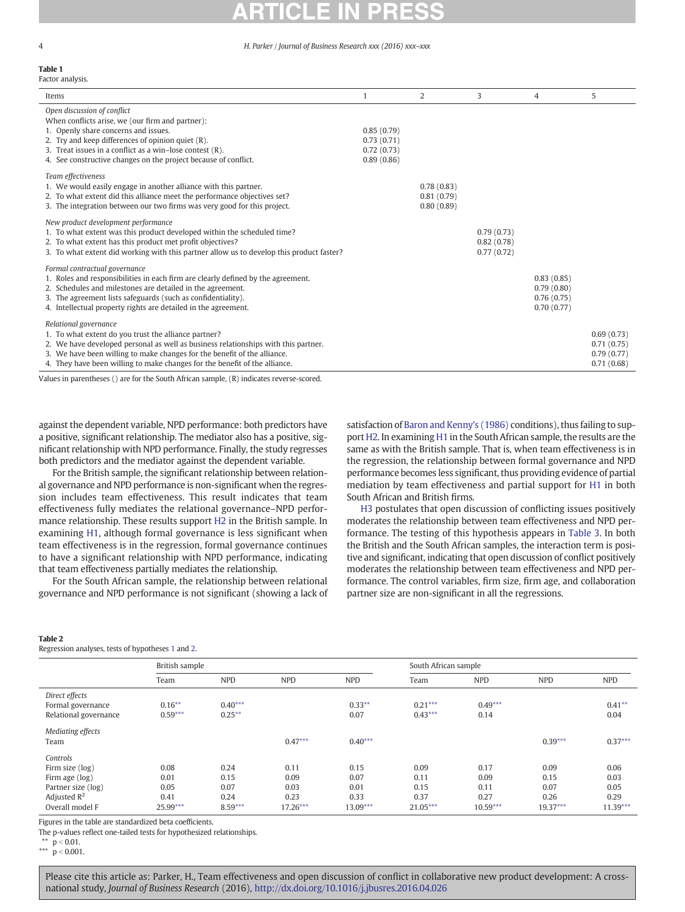#### <span id="page-3-0"></span>Table 1 Factor analysis.

| Items                                                                                                                                                                                                                                                                                                                         |                                                      | $\overline{2}$                         | 3                                      | 4                                                    | 5                                                    |
|-------------------------------------------------------------------------------------------------------------------------------------------------------------------------------------------------------------------------------------------------------------------------------------------------------------------------------|------------------------------------------------------|----------------------------------------|----------------------------------------|------------------------------------------------------|------------------------------------------------------|
| Open discussion of conflict<br>When conflicts arise, we (our firm and partner):<br>1. Openly share concerns and issues.<br>2. Try and keep differences of opinion quiet $(R)$ .<br>3. Treat issues in a conflict as a win–lose contest (R).<br>4. See constructive changes on the project because of conflict.                | 0.85(0.79)<br>0.73(0.71)<br>0.72(0.73)<br>0.89(0.86) |                                        |                                        |                                                      |                                                      |
| Team effectiveness<br>1. We would easily engage in another alliance with this partner.<br>2. To what extent did this alliance meet the performance objectives set?<br>3. The integration between our two firms was very good for this project.                                                                                |                                                      | 0.78(0.83)<br>0.81(0.79)<br>0.80(0.89) |                                        |                                                      |                                                      |
| New product development performance<br>1. To what extent was this product developed within the scheduled time?<br>2. To what extent has this product met profit objectives?<br>3. To what extent did working with this partner allow us to develop this product faster?                                                       |                                                      |                                        | 0.79(0.73)<br>0.82(0.78)<br>0.77(0.72) |                                                      |                                                      |
| Formal contractual governance<br>1. Roles and responsibilities in each firm are clearly defined by the agreement.<br>2. Schedules and milestones are detailed in the agreement.<br>3. The agreement lists safeguards (such as confidentiality).<br>4. Intellectual property rights are detailed in the agreement.             |                                                      |                                        |                                        | 0.83(0.85)<br>0.79(0.80)<br>0.76(0.75)<br>0.70(0.77) |                                                      |
| Relational governance<br>1. To what extent do you trust the alliance partner?<br>2. We have developed personal as well as business relationships with this partner.<br>3. We have been willing to make changes for the benefit of the alliance.<br>4. They have been willing to make changes for the benefit of the alliance. |                                                      |                                        |                                        |                                                      | 0.69(0.73)<br>0.71(0.75)<br>0.79(0.77)<br>0.71(0.68) |

Values in parentheses () are for the South African sample, (R) indicates reverse-scored.

against the dependent variable, NPD performance: both predictors have a positive, significant relationship. The mediator also has a positive, significant relationship with NPD performance. Finally, the study regresses both predictors and the mediator against the dependent variable.

For the British sample, the significant relationship between relational governance and NPD performance is non-significant when the regression includes team effectiveness. This result indicates that team effectiveness fully mediates the relational governance–NPD performance relationship. These results support [H2](#page-1-0) in the British sample. In examining [H1,](#page-1-0) although formal governance is less significant when team effectiveness is in the regression, formal governance continues to have a significant relationship with NPD performance, indicating that team effectiveness partially mediates the relationship.

For the South African sample, the relationship between relational governance and NPD performance is not significant (showing a lack of

#### Table 2

Regression analyses, tests of hypotheses [1](#page-1-0) and [2.](#page-1-0)

satisfaction of [Baron and Kenny's \(1986\)](#page-5-0) conditions), thus failing to support [H2](#page-1-0). In examining [H1](#page-1-0) in the South African sample, the results are the same as with the British sample. That is, when team effectiveness is in the regression, the relationship between formal governance and NPD performance becomes less significant, thus providing evidence of partial mediation by team effectiveness and partial support for [H1](#page-1-0) in both South African and British firms.

[H3](#page-1-0) postulates that open discussion of conflicting issues positively moderates the relationship between team effectiveness and NPD performance. The testing of this hypothesis appears in [Table 3.](#page-4-0) In both the British and the South African samples, the interaction term is positive and significant, indicating that open discussion of conflict positively moderates the relationship between team effectiveness and NPD performance. The control variables, firm size, firm age, and collaboration partner size are non-significant in all the regressions.

|                         | British sample |            |            | South African sample |            |            |            |            |
|-------------------------|----------------|------------|------------|----------------------|------------|------------|------------|------------|
|                         | Team           | <b>NPD</b> | <b>NPD</b> | <b>NPD</b>           | Team       | <b>NPD</b> | <b>NPD</b> | <b>NPD</b> |
| Direct effects          |                |            |            |                      |            |            |            |            |
| Formal governance       | $0.16***$      | $0.40***$  |            | $0.33***$            | $0.21***$  | $0.49***$  |            | $0.41***$  |
| Relational governance   | $0.59***$      | $0.25***$  |            | 0.07                 | $0.43***$  | 0.14       |            | 0.04       |
| Mediating effects       |                |            |            |                      |            |            |            |            |
| Team                    |                |            | $0.47***$  | $0.40***$            |            |            | $0.39***$  | $0.37***$  |
| Controls                |                |            |            |                      |            |            |            |            |
| Firm size (log)         | 0.08           | 0.24       | 0.11       | 0.15                 | 0.09       | 0.17       | 0.09       | 0.06       |
| Firm age (log)          | 0.01           | 0.15       | 0.09       | 0.07                 | 0.11       | 0.09       | 0.15       | 0.03       |
| Partner size (log)      | 0.05           | 0.07       | 0.03       | 0.01                 | 0.15       | 0.11       | 0.07       | 0.05       |
| Adjusted $\mathbb{R}^2$ | 0.41           | 0.24       | 0.23       | 0.33                 | 0.37       | 0.27       | 0.26       | 0.29       |
| Overall model F         | $25.99***$     | $8.59***$  | $17.26***$ | $13.09***$           | $21.05***$ | $10.59***$ | $19.37***$ | $11.39***$ |

Figures in the table are standardized beta coefficients.

The p-values reflect one-tailed tests for hypothesized relationships.

\*\*  $p < 0.01$ . \*\*\*  $p < 0.001$ .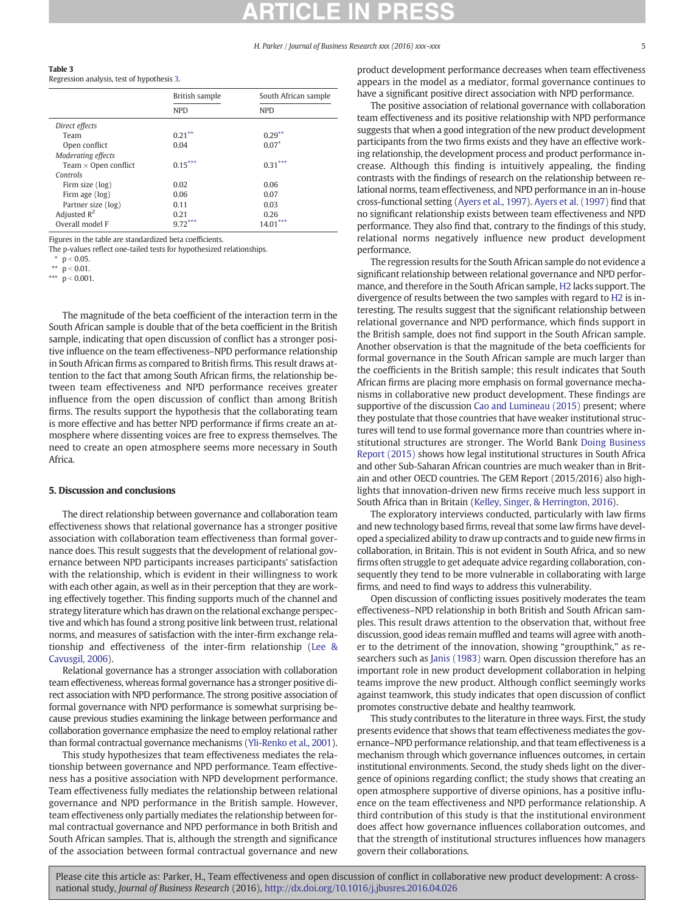<span id="page-4-0"></span>

Regression analysis, test of hypothesis [3](#page-1-0).

|                             | British sample | South African sample |  |  |
|-----------------------------|----------------|----------------------|--|--|
|                             | <b>NPD</b>     | <b>NPD</b>           |  |  |
| Direct effects              |                |                      |  |  |
| Team                        | $0.21***$      | $0.29***$            |  |  |
| Open conflict               | 0.04           | $0.07*$              |  |  |
| Moderating effects          |                |                      |  |  |
| Team $\times$ Open conflict | $0.15***$      | $0.31***$            |  |  |
| Controls                    |                |                      |  |  |
| Firm size (log)             | 0.02           | 0.06                 |  |  |
| Firm age (log)              | 0.06           | 0.07                 |  |  |
| Partner size (log)          | 0.11           | 0.03                 |  |  |
| Adjusted $R^2$              | 0.21           | 0.26                 |  |  |
| Overall model F             | 9.72           | 14.01                |  |  |

Figures in the table are standardized beta coefficients.

The p-values reflect one-tailed tests for hypothesized relationships.

 $p < 0.05$ .

\*\*  $p < 0.01$ .

\*\*\*  $\dot{p}$  < 0.001.

The magnitude of the beta coefficient of the interaction term in the South African sample is double that of the beta coefficient in the British sample, indicating that open discussion of conflict has a stronger positive influence on the team effectiveness–NPD performance relationship in South African firms as compared to British firms. This result draws attention to the fact that among South African firms, the relationship between team effectiveness and NPD performance receives greater influence from the open discussion of conflict than among British firms. The results support the hypothesis that the collaborating team is more effective and has better NPD performance if firms create an atmosphere where dissenting voices are free to express themselves. The need to create an open atmosphere seems more necessary in South Africa.

### 5. Discussion and conclusions

The direct relationship between governance and collaboration team effectiveness shows that relational governance has a stronger positive association with collaboration team effectiveness than formal governance does. This result suggests that the development of relational governance between NPD participants increases participants' satisfaction with the relationship, which is evident in their willingness to work with each other again, as well as in their perception that they are working effectively together. This finding supports much of the channel and strategy literature which has drawn on the relational exchange perspective and which has found a strong positive link between trust, relational norms, and measures of satisfaction with the inter-firm exchange relationship and effectiveness of the inter-firm relationship ([Lee &](#page-5-0) [Cavusgil, 2006\)](#page-5-0).

Relational governance has a stronger association with collaboration team effectiveness, whereas formal governance has a stronger positive direct association with NPD performance. The strong positive association of formal governance with NPD performance is somewhat surprising because previous studies examining the linkage between performance and collaboration governance emphasize the need to employ relational rather than formal contractual governance mechanisms [\(Yli-Renko et al., 2001](#page-5-0)).

This study hypothesizes that team effectiveness mediates the relationship between governance and NPD performance. Team effectiveness has a positive association with NPD development performance. Team effectiveness fully mediates the relationship between relational governance and NPD performance in the British sample. However, team effectiveness only partially mediates the relationship between formal contractual governance and NPD performance in both British and South African samples. That is, although the strength and significance of the association between formal contractual governance and new product development performance decreases when team effectiveness appears in the model as a mediator, formal governance continues to have a significant positive direct association with NPD performance.

The positive association of relational governance with collaboration team effectiveness and its positive relationship with NPD performance suggests that when a good integration of the new product development participants from the two firms exists and they have an effective working relationship, the development process and product performance increase. Although this finding is intuitively appealing, the finding contrasts with the findings of research on the relationship between relational norms, team effectiveness, and NPD performance in an in-house cross-functional setting [\(Ayers et al., 1997\)](#page-5-0). [Ayers et al. \(1997\)](#page-5-0) find that no significant relationship exists between team effectiveness and NPD performance. They also find that, contrary to the findings of this study, relational norms negatively influence new product development performance.

The regression results for the South African sample do not evidence a significant relationship between relational governance and NPD performance, and therefore in the South African sample, [H2](#page-1-0) lacks support. The divergence of results between the two samples with regard to [H2](#page-1-0) is interesting. The results suggest that the significant relationship between relational governance and NPD performance, which finds support in the British sample, does not find support in the South African sample. Another observation is that the magnitude of the beta coefficients for formal governance in the South African sample are much larger than the coefficients in the British sample; this result indicates that South African firms are placing more emphasis on formal governance mechanisms in collaborative new product development. These findings are supportive of the discussion [Cao and Lumineau \(2015\)](#page-5-0) present; where they postulate that those countries that have weaker institutional structures will tend to use formal governance more than countries where institutional structures are stronger. The World Bank [Doing Business](#page-5-0) [Report \(2015\)](#page-5-0) shows how legal institutional structures in South Africa and other Sub-Saharan African countries are much weaker than in Britain and other OECD countries. The GEM Report (2015/2016) also highlights that innovation-driven new firms receive much less support in South Africa than in Britain [\(Kelley, Singer, & Herrington, 2016\)](#page-5-0).

The exploratory interviews conducted, particularly with law firms and new technology based firms, reveal that some law firms have developed a specialized ability to draw up contracts and to guide new firms in collaboration, in Britain. This is not evident in South Africa, and so new firms often struggle to get adequate advice regarding collaboration, consequently they tend to be more vulnerable in collaborating with large firms, and need to find ways to address this vulnerability.

Open discussion of conflicting issues positively moderates the team effectiveness–NPD relationship in both British and South African samples. This result draws attention to the observation that, without free discussion, good ideas remain muffled and teams will agree with another to the detriment of the innovation, showing "groupthink," as researchers such as [Janis \(1983\)](#page-5-0) warn. Open discussion therefore has an important role in new product development collaboration in helping teams improve the new product. Although conflict seemingly works against teamwork, this study indicates that open discussion of conflict promotes constructive debate and healthy teamwork.

This study contributes to the literature in three ways. First, the study presents evidence that shows that team effectiveness mediates the governance–NPD performance relationship, and that team effectiveness is a mechanism through which governance influences outcomes, in certain institutional environments. Second, the study sheds light on the divergence of opinions regarding conflict; the study shows that creating an open atmosphere supportive of diverse opinions, has a positive influence on the team effectiveness and NPD performance relationship. A third contribution of this study is that the institutional environment does affect how governance influences collaboration outcomes, and that the strength of institutional structures influences how managers govern their collaborations.